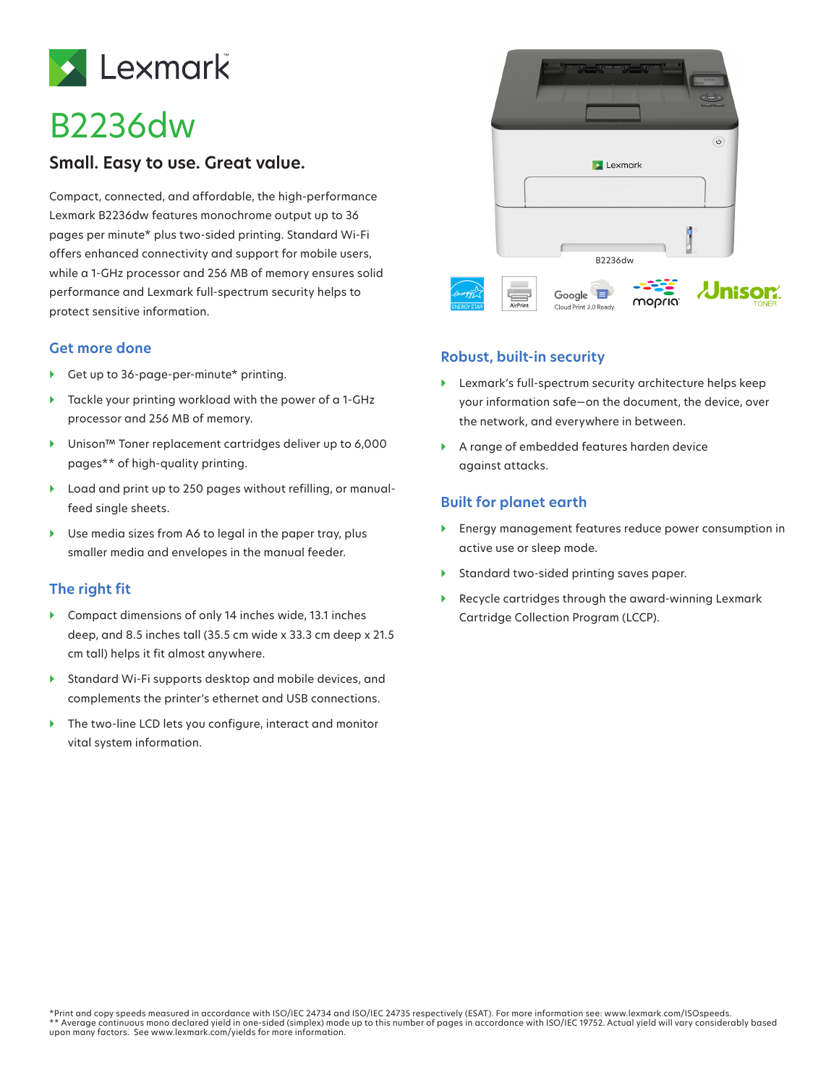

# B2236dw

## **Small. Easy to use. Great value.**

Compact, connected, and affordable, the high-performance Lexmark B2236dw features monochrome output up to 36 pages per minute\* plus two-sided printing. Standard Wi-Fi offers enhanced connectivity and support for mobile users, while a 1-GHz processor and 256 MB of memory ensures solid performance and Lexmark full-spectrum security helps to protect sensitive information.

#### **Get more done**

- ▶ Get up to 36-page-per-minute\* printing.
- } Tackle your printing workload with the power of a 1-GHz processor and 256 MB of memory.
- } Unison™ Toner replacement cartridges deliver up to 6,000 pages\*\* of high-quality printing.
- } Load and print up to 250 pages without refilling, or manualfeed single sheets.
- ▶ Use media sizes from A6 to legal in the paper tray, plus smaller media and envelopes in the manual feeder.

### **The right fit**

- } Compact dimensions of only 14 inches wide, 13.1 inches deep, and 8.5 inches tall (35.5 cm wide x 33.3 cm deep x 21.5 cm tall) helps it fit almost anywhere.
- } Standard Wi-Fi supports desktop and mobile devices, and complements the printer's ethernet and USB connections.
- ▶ The two-line LCD lets you configure, interact and monitor vital system information.



#### **Robust, built-in security**

- } Lexmark's full-spectrum security architecture helps keep your information safe—on the document, the device, over the network, and everywhere in between.
- } A range of embedded features harden device against attacks.

### **Built for planet earth**

- } Energy management features reduce power consumption in active use or sleep mode.
- } Standard two-sided printing saves paper.
- } Recycle cartridges through the award-winning Lexmark Cartridge Collection Program (LCCP).